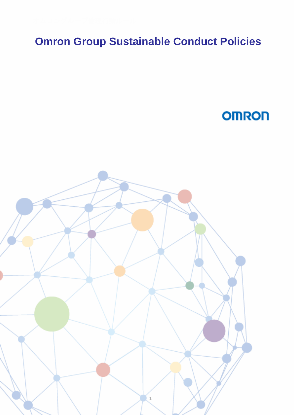# **Omron Group Sustainable Conduct Policies**

**OMRON** 

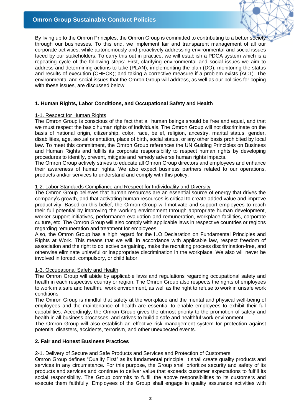# **Omron Group Sustainable Conduct Policies**

By living up to the Omron Principles, the Omron Group is committed to contributing to a better society through our businesses. To this end, we implement fair and transparent management of all our corporate activities, while autonomously and proactively addressing environmental and social issues faced by our stakeholders. To carry this out in practice, we will establish a PDCA system which is a repeating cycle of the following steps: First, clarifying environmental and social issues we aim to address and determining actions to take (PLAN); implementing the plan (DO); monitoring the status and results of execution (CHECK); and taking a corrective measure if a problem exists (ACT). The environmental and social issues that the Omron Group will address, as well as our policies for coping with these issues, are discussed below:

# **1. Human Rights, Labor Conditions, and Occupational Safety and Health**

## 1-1. Respect for Human Rights

The Omron Group is conscious of the fact that all human beings should be free and equal, and that we must respect the basic human rights of individuals. The Omron Group will not discriminate on the basis of national origin, citizenship, color, race, belief, religion, ancestry, marital status, gender, disabilities, age, sexual orientation, place of birth, social status, or any other basis prohibited by local law. To meet this commitment, the Omron Group references the UN Guiding Principles on Business and Human Rights and fulfills its corporate responsibility to respect human rights by developing procedures to identify, prevent, mitigate and remedy adverse human rights impacts.

The Omron Group actively strives to educate all Omron Group directors and employees and enhance their awareness of human rights. We also expect business partners related to our operations, products and/or services to understand and comply with this policy.

## 1-2. Labor Standards Compliance and Respect for Individuality and Diversity

The Omron Group believes that human resources are an essential source of energy that drives the company's growth, and that activating human resources is critical to create added value and improve productivity. Based on this belief, the Omron Group will motivate and support employees to reach their full potential by improving the working environment through appropriate human development, worker support initiatives, performance evaluation and remuneration, workplace facilities, corporate culture, etc. The Omron Group will also comply with applicable laws in respective countries or regions regarding remuneration and treatment for employees.

Also, the Omron Group has a high regard for the ILO Declaration on Fundamental Principles and Rights at Work. This means that we will, in accordance with applicable law, respect freedom of association and the right to collective bargaining, make the recruiting process discrimination-free, and otherwise eliminate unlawful or inappropriate discrimination in the workplace. We also will never be involved in forced, compulsory, or child labor.

## 1-3. Occupational Safety and Health

The Omron Group will abide by applicable laws and regulations regarding occupational safety and health in each respective country or region. The Omron Group also respects the rights of employees to work in a safe and healthful work environment, as well as the right to refuse to work in unsafe work conditions.

The Omron Group is mindful that safety at the workplace and the mental and physical well-being of employees and the maintenance of health are essential to enable employees to exhibit their full capabilities. Accordingly, the Omron Group gives the utmost priority to the promotion of safety and health in all business processes, and strives to build a safe and healthful work environment.

The Omron Group will also establish an effective risk management system for protection against potential disasters, accidents, terrorism, and other unexpected events.

## **2. Fair and Honest Business Practices**

## 2-1. Delivery of Secure and Safe Products and Services and Protection of Customers

Omron Group defines "Quality First" as its fundamental principle. It shall create quality products and services in any circumstance. For this purpose, the Group shall prioritize security and safety of its products and services and continue to deliver value that exceeds customer expectations to fulfill its social responsibility. The Group commits to fulfill the above responsibilities to its customers and execute them faithfully. Employees of the Group shall engage in quality assurance activities with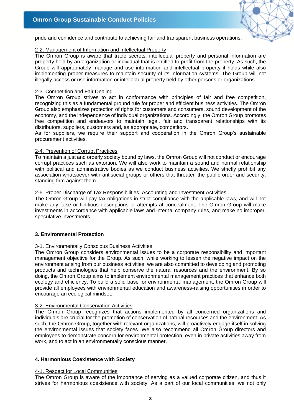

pride and confidence and contribute to achieving fair and transparent business operations.

## 2-2. Management of Information and Intellectual Property

The Omron Group is aware that trade secrets, intellectual property and personal information are property held by an organization or individual that is entitled to profit from the property. As such, the Group will appropriately manage and use information and intellectual property it holds while also implementing proper measures to maintain security of its information systems. The Group will not illegally access or use information or intellectual property held by other persons or organizations.

#### 2-3. Competition and Fair Dealing

The Omron Group strives to act in conformance with principles of fair and free competition, recognizing this as a fundamental ground rule for proper and efficient business activities. The Omron Group also emphasizes protection of rights for customers and consumers, sound development of the economy, and the independence of individual organizations. Accordingly, the Omron Group promotes free competition and endeavors to maintain legal, fair and transparent relationships with its distributors, suppliers, customers and, as appropriate, competitors.

As for suppliers, we require their support and cooperation in the Omron Group's sustainable procurement activities.

#### 2-4. Prevention of Corrupt Practices

To maintain a just and orderly society bound by laws, the Omron Group will not conduct or encourage corrupt practices such as extortion. We will also work to maintain a sound and normal relationship with political and administrative bodies as we conduct business activities. We strictly prohibit any association whatsoever with antisocial groups or others that threaten the public order and security, standing firm against them.

### 2-5. Proper Discharge of Tax Responsibilities, Accounting and Investment Activities

The Omron Group will pay tax obligations in strict compliance with the applicable laws, and will not make any false or fictitious descriptions or attempts at concealment. The Omron Group will make investments in accordance with applicable laws and internal company rules, and make no improper, speculative investments

## **3. Environmental Protection**

#### 3-1. Environmentally Conscious Business Activities

The Omron Group considers environmental issues to be a corporate responsibility and important management objective for the Group. As such, while working to lessen the negative impact on the environment arising from our business activities, we are also committed to developing and promoting products and technologies that help conserve the natural resources and the environment. By so doing, the Omron Group aims to implement environmental management practices that enhance both ecology and efficiency. To build a solid base for environmental management, the Omron Group will provide all employees with environmental education and awareness-raising opportunities in order to encourage an ecological mindset.

## 3-2. Environmental Conservation Activities

The Omron Group recognizes that actions implemented by all concerned organizations and individuals are crucial for the promotion of conservation of natural resources and the environment. As such, the Omron Group, together with relevant organizations, will proactively engage itself in solving the environmental issues that society faces. We also recommend all Omron Group directors and employees to demonstrate concern for environmental protection, even in private activities away from work, and to act in an environmentally conscious manner.

## **4. Harmonious Coexistence with Society**

## 4-1. Respect for Local Communities

The Omron Group is aware of the importance of serving as a valued corporate citizen, and thus it strives for harmonious coexistence with society. As a part of our local communities, we not only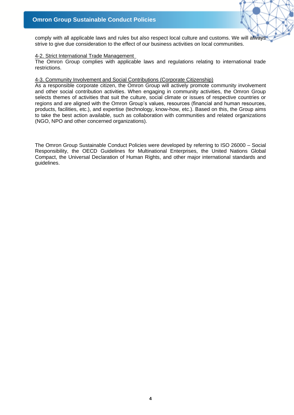

comply with all applicable laws and rules but also respect local culture and customs. We will always strive to give due consideration to the effect of our business activities on local communities.

### 4-2. Strict International Trade Management

The Omron Group complies with applicable laws and regulations relating to international trade restrictions.

#### 4-3. Community Involvement and Social Contributions (Corporate Citizenship)

As a responsible corporate citizen, the Omron Group will actively promote community involvement and other social contribution activities. When engaging in community activities, the Omron Group selects themes of activities that suit the culture, social climate or issues of respective countries or regions and are aligned with the Omron Group's values, resources (financial and human resources, products, facilities, etc.), and expertise (technology, know-how, etc.). Based on this, the Group aims to take the best action available, such as collaboration with communities and related organizations (NGO, NPO and other concerned organizations).

The Omron Group Sustainable Conduct Policies were developed by referring to ISO 26000 – Social Responsibility, the OECD Guidelines for Multinational Enterprises, the United Nations Global Compact, the Universal Declaration of Human Rights, and other major international standards and guidelines.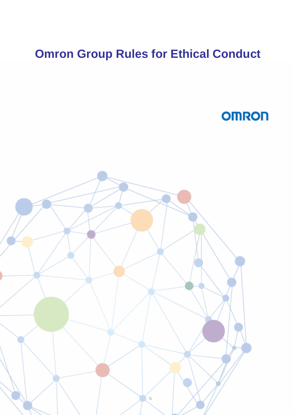# **Omron Group Rules for Ethical Conduct**

# **OMRON**

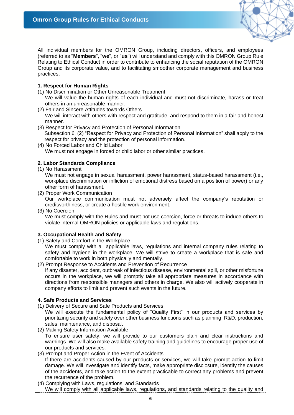

All individual members for the OMRON Group, including directors, officers, and employees (referred to as "**Members**", "**we**", or "**us**") will understand and comply with this OMRON Group Rule Relating to Ethical Conduct in order to contribute to enhancing the social reputation of the OMRON Group and its corporate value, and to facilitating smoother corporate management and business practices.

# **1. Respect for Human Rights**

(1) No Discrimination or Other Unreasonable Treatment

We will value the human rights of each individual and must not discriminate, harass or treat others in an unreasonable manner.

- (2) Fair and Sincere Attitudes towards Others We will interact with others with respect and gratitude, and respond to them in a fair and honest manner.
- (3) Respect for Privacy and Protection of Personal Information Subsection 6. (2) "Respect for Privacy and Protection of Personal Information" shall apply to the respect for privacy and the protection of personal information.
- (4) No Forced Labor and Child Labor We must not engage in forced or child labor or other similar practices.

# **2**. **Labor Standards Compliance**

(1) No Harassment

We must not engage in sexual harassment, power harassment, status-based harassment (i.e., workplace discrimination or infliction of emotional distress based on a position of power) or any other form of harassment.

(2) Proper Work Communication

Our workplace communication must not adversely affect the company's reputation or creditworthiness, or create a hostile work environment.

(3) No Coercion

We must comply with the Rules and must not use coercion, force or threats to induce others to violate internal OMRON policies or applicable laws and regulations.

# **3. Occupational Health and Safety**

- (1) Safety and Comfort in the Workplace
	- We must comply with all applicable laws, regulations and internal company rules relating to safety and hygiene in the workplace. We will strive to create a workplace that is safe and comfortable to work in both physically and mentally.
- (2) Prompt Response to Accidents and Prevention of Recurrence If any disaster, accident, outbreak of infectious disease, environmental spill, or other misfortune occurs in the workplace, we will promptly take all appropriate measures in accordance with directions from responsible managers and others in charge. We also will actively cooperate in company efforts to limit and prevent such events in the future.

# **4. Safe Products and Services**

- (1) Delivery of Secure and Safe Products and Services
- We will execute the fundamental policy of "Quality First" in our products and services by prioritizing security and safety over other business functions such as planning, R&D, production, sales, maintenance, and disposal.
- (2) Making Safety Information Available To ensure user safety, we will provide to our customers plain and clear instructions and warnings. We will also make available safety training and guidelines to encourage proper use of our products and services.
- (3) Prompt and Proper Action in the Event of Accidents If there are accidents caused by our products or services, we will take prompt action to limit damage. We will investigate and identify facts, make appropriate disclosure, identify the causes of the accidents, and take action to the extent practicable to correct any problems and prevent the recurrence of the problem.
- (4) Complying with Laws, regulations, and Standards We will comply with all applicable laws, regulations, and standards relating to the quality and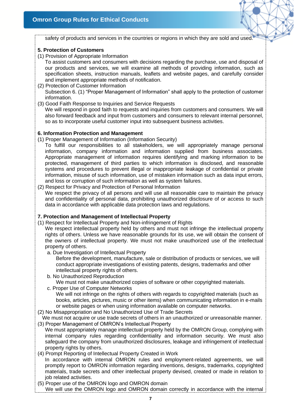safety of products and services in the countries or regions in which they are sold and used.

## **5. Protection of Customers**

(1) Provision of Appropriate Information

To assist customers and consumers with decisions regarding the purchase, use and disposal of our products and services, we will examine all methods of providing information, such as specification sheets, instruction manuals, leaflets and website pages, and carefully consider and implement appropriate methods of notification.

- (2) Protection of Customer Information Subsection 6. (1) "Proper Management of Information" shall apply to the protection of customer information.
- (3) Good Faith Response to Inquiries and Service Requests We will respond in good faith to requests and inquiries from customers and consumers. We will also forward feedback and input from customers and consumers to relevant internal personnel, so as to incorporate useful customer input into subsequent business activities.

## **6. Information Protection and Management**

- (1) Proper Management of Information (Information Security)
	- To fulfill our responsibilities to all stakeholders, we will appropriately manage personal information, company information and information supplied from business associates. Appropriate management of information requires identifying and marking information to be protected, management of third parties to which information is disclosed, and reasonable systems and procedures to prevent illegal or inappropriate leakage of confidential or private information, misuse of such information, use of mistaken information such as data input errors, and loss or corruption of such information as well as system failures.
- (2) Respect for Privacy and Protection of Personal Information We respect the privacy of all persons and will use all reasonable care to maintain the privacy and confidentiality of personal data, prohibiting unauthorized disclosure of or access to such data in accordance with applicable data protection laws and regulations.

# **7. Protection and Management of Intellectual Property**

(1) Respect for Intellectual Property and Non-infringement of Rights

We respect intellectual property held by others and must not infringe the intellectual property rights of others. Unless we have reasonable grounds for its use, we will obtain the consent of the owners of intellectual property. We must not make unauthorized use of the intellectual property of others.

- a. Due Investigation of Intellectual Property
	- Before the development, manufacture, sale or distribution of products or services, we will conduct appropriate investigations of existing patents, designs, trademarks and other intellectual property rights of others.
- b. No Unauthorized Reproduction We must not make unauthorized copies of software or other copyrighted materials.
- c. Proper Use of Computer Networks We will not infringe on the rights of others with regards to copyrighted materials (such as books, articles, pictures, music or other items) when communicating information in e-mails or website pages or when using information available on computer networks.
- (2) No Misappropriation and No Unauthorized Use of Trade Secrets
- We must not acquire or use trade secrets of others in an unauthorized or unreasonable manner. (3) Proper Management of OMRON's Intellectual Property
- We must appropriately manage intellectual property held by the OMRON Group, complying with internal company rules regarding confidentiality and information security. We must also safeguard the company from unauthorized disclosures, leakage and infringement of intellectual property rights by others.
- (4) Prompt Reporting of Intellectual Property Created in Work In accordance with internal OMRON rules and employment-related agreements, we will promptly report to OMRON information regarding inventions, designs, trademarks, copyrighted materials, trade secrets and other intellectual property devised, created or made in relation to job related activities.
- (5) Proper use of the OMRON logo and OMRON domain We will use the OMRON logo and OMRON domain correctly in accordance with the internal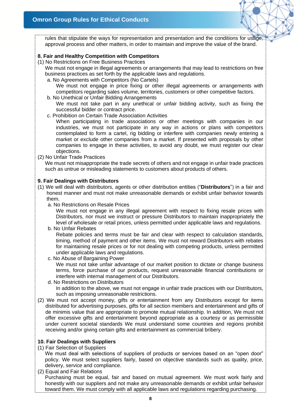rules that stipulate the ways for representation and presentation and the conditions for usage, approval process and other matters, in order to maintain and improve the value of the brand.

# **8. Fair and Healthy Competition with Competitors**

(1) No Restrictions on Free Business Practices

We must not engage in illegal agreements or arrangements that may lead to restrictions on free business practices as set forth by the applicable laws and regulations.

a. No Agreements with Competitors (No Cartels)

We must not engage in price fixing or other illegal agreements or arrangements with competitors regarding sales volume, territories, customers or other competitive factors.

- b. No Unethical or Unfair Bidding Arrangements We must not take part in any unethical or unfair bidding activity, such as fixing the successful bidder or contract price.
- c. Prohibition on Certain Trade Association Activities

When participating in trade associations or other meetings with companies in our industries, we must not participate in any way in actions or plans with competitors contemplated to form a cartel, rig bidding or interfere with companies newly entering a market or exclude other companies from a market. If presented with proposals by other companies to engage in these activities, to avoid any doubt, we must register our clear objections.

(2) No Unfair Trade Practices

We must not misappropriate the trade secrets of others and not engage in unfair trade practices such as untrue or misleading statements to customers about products of others.

## **9. Fair Dealings with Distributors**

- (1) We will deal with distributors, agents or other distribution entities ("**Distributors**") in a fair and honest manner and must not make unreasonable demands or exhibit unfair behavior towards them.
	- a. No Restrictions on Resale Prices

We must not engage in any illegal agreement with respect to fixing resale prices with Distributors, nor must we instruct or pressure Distributors to maintain inappropriately the level of wholesale or retail prices, unless permitted under applicable laws and regulations.

b. No Unfair Rebates

Rebate policies and terms must be fair and clear with respect to calculation standards, timing, method of payment and other items. We must not reward Distributors with rebates for maintaining resale prices or for not dealing with competing products, unless permitted under applicable laws and regulations.

c. No Abuse of Bargaining Power

We must not take unfair advantage of our market position to dictate or change business terms, force purchase of our products, request unreasonable financial contributions or interfere with internal management of our Distributors.

- d. No Restrictions on Distributors In addition to the above, we must not engage in unfair trade practices with our Distributors, such as imposing unreasonable restrictions.
- (2) We must not accept money, gifts or entertainment from any Distributors except for items distributed for advertising purposes, gifts for all section members and entertainment and gifts of de minimis value that are appropriate to promote mutual relationship. In addition, We must not offer excessive gifts and entertainment beyond appropriate as a courtesy or as permissible under current societal standards We must understand some countries and regions prohibit receiving and/or giving certain gifts and entertainment as commercial bribery.

## **10. Fair Dealings with Suppliers**

(1) Fair Selection of Suppliers

We must deal with selections of suppliers of products or services based on an "open door" policy. We must select suppliers fairly, based on objective standards such as quality, price, delivery, service and compliance.

(2) Equal and Fair Relations Purchasing must be equal, fair and based on mutual agreement. We must work fairly and honestly with our suppliers and not make any unreasonable demands or exhibit unfair behavior toward them. We must comply with all applicable laws and regulations regarding purchasing.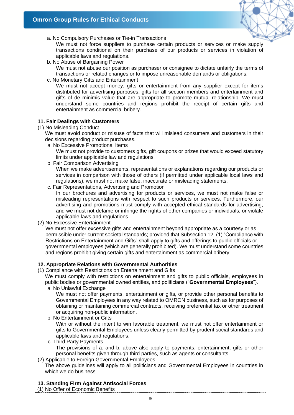

a. No Compulsory Purchases or Tie-in Transactions

We must not force suppliers to purchase certain products or services or make supply transactions conditional on their purchase of our products or services in violation of applicable laws and regulations.

- b. No Abuse of Bargaining Power We must not abuse our position as purchaser or consignee to dictate unfairly the terms of transactions or related changes or to impose unreasonable demands or obligations.
- c. No Monetary Gifts and Entertainment

We must not accept money, gifts or entertainment from any supplier except for items distributed for advertising purposes, gifts for all section members and entertainment and gifts of de minimis value that are appropriate to promote mutual relationship. We must understand some countries and regions prohibit the receipt of certain gifts and entertainment as commercial bribery.

## **11. Fair Dealings with Customers**

(1) No Misleading Conduct

We must avoid conduct or misuse of facts that will mislead consumers and customers in their decisions regarding product purchases.

- a. No Excessive Promotional Items We must not provide to customers gifts, gift coupons or prizes that would exceed statutory limits under applicable law and regulations.
- b. Fair Comparison Advertising

When we make advertisements, representations or explanations regarding our products or services in comparison with those of others (if permitted under applicable local laws and regulations), we must not make false, inaccurate or misleading statements.

- c. Fair Representations, Advertising and Promotion In our brochures and advertising for products or services, we must not make false or misleading representations with respect to such products or services. Furthermore, our advertising and promotions must comply with accepted ethical standards for advertising, and we must not defame or infringe the rights of other companies or individuals, or violate applicable laws and regulations.
- (2) No Excessive Entertainment

We must not offer excessive gifts and entertainment beyond appropriate as a courtesy or as permissible under current societal standards; provided that Subsection 12. (1) "Compliance with Restrictions on Entertainment and Gifts" shall apply to gifts and offerings to public officials or governmental employees (which are generally prohibited). We must understand some countries and regions prohibit giving certain gifts and entertainment as commercial bribery.

# **12. Appropriate Relations with Governmental Authorities**

(1) Compliance with Restrictions on Entertainment and Gifts

We must comply with restrictions on entertainment and gifts to public officials, employees in public bodies or governmental owned entities, and politicians ("**Governmental Employees**").

a. No Unlawful Exchange

We must not offer payments, entertainment or gifts, or provide other personal benefits to Governmental Employees in any way related to OMRON business, such as for purposes of obtaining or maintaining commercial contracts, receiving preferential tax or other treatment or acquiring non-public information.

b. No Entertainment or Gifts

With or without the intent to win favorable treatment, we must not offer entertainment or gifts to Governmental Employees unless clearly permitted by prudent social standards and applicable laws and regulations.

c. Third Party Payments

The provisions of a. and b. above also apply to payments, entertainment, gifts or other personal benefits given through third parties, such as agents or consultants.

(2) Applicable to Foreign Governmental Employees

The above guidelines will apply to all politicians and Governmental Employees in countries in which we do business.

# **13. Standing Firm Against Antisocial Forces**

(1) No Offer of Economic Benefits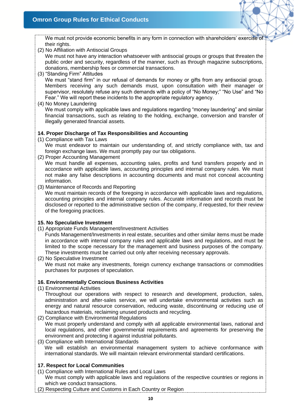We must not provide economic benefits in any form in connection with shareholders' exercise of their rights.

(2) No Affiliation with Antisocial Groups

We must not have any interaction whatsoever with antisocial groups or groups that threaten the public order and security, regardless of the manner, such as through magazine subscriptions, donations, membership fees or commercial transactions.

- (3) "Standing Firm" Attitudes We must "stand firm" in our refusal of demands for money or gifts from any antisocial group. Members receiving any such demands must, upon consultation with their manager or supervisor, resolutely refuse any such demands with a policy of "No Money;" "No Use" and "No Fear." We will report these incidents to the appropriate regulatory agency.
- (4) No Money Laundering

We must comply with applicable laws and regulations regarding "money laundering" and similar financial transactions, such as relating to the holding, exchange, conversion and transfer of illegally generated financial assets.

## **14. Proper Discharge of Tax Responsibilities and Accounting**

(1) Compliance with Tax Laws

We must endeavor to maintain our understanding of, and strictly compliance with, tax and foreign exchange laws. We must promptly pay our tax obligations.

(2) Proper Accounting Management

We must handle all expenses, accounting sales, profits and fund transfers properly and in accordance with applicable laws, accounting principles and internal company rules. We must not make any false descriptions in accounting documents and must not conceal accounting information.

(3) Maintenance of Records and Reporting

We must maintain records of the foregoing in accordance with applicable laws and regulations, accounting principles and internal company rules. Accurate information and records must be disclosed or reported to the administrative section of the company, if requested, for their review of the foregoing practices.

## **15. No Speculative Investment**

(1) Appropriate Funds Management/Investment Activities

Funds Management/Investments in real estate, securities and other similar items must be made in accordance with internal company rules and applicable laws and regulations, and must be limited to the scope necessary for the management and business purposes of the company. These investments must be carried out only after receiving necessary approvals.

(2) No Speculative Investment We must not make any investments, foreign currency exchange transactions or commodities purchases for purposes of speculation.

## **16. Environmentally Conscious Business Activities**

(1) Environmental Activities

Throughout our operations with respect to research and development, production, sales, administration and after-sales service, we will undertake environmental activities such as energy and natural resource conservation, reducing waste, discontinuing or reducing use of hazardous materials, reclaiming unused products and recycling.

- (2) Compliance with Environmental Regulations We must properly understand and comply with all applicable environmental laws, national and local regulations, and other governmental requirements and agreements for preserving the environment and protecting it against industrial pollutants.
- (3) Compliance with International Standards We will establish an environmental management system to achieve conformance with international standards. We will maintain relevant environmental standard certifications.

# **17. Respect for Local Communities**

- (1) Compliance with International Rules and Local Laws We must comply with applicable laws and regulations of the respective countries or regions in which we conduct transactions.
- (2) Respecting Culture and Customs in Each Country or Region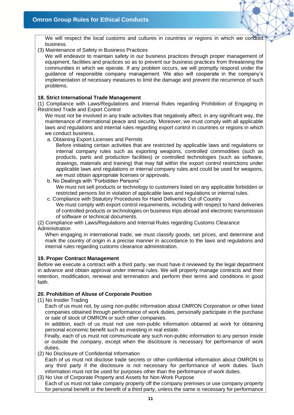We will respect the local customs and cultures in countries or regions in which we conduct business.

(3) Maintenance of Safety in Business Practices

We will endeavor to maintain safety in our business practices through proper management of equipment, facilities and practices so as to prevent our business practices from threatening the communities in which we operate. If any problem occurs, we will promptly respond under the guidance of responsible company management. We also will cooperate in the company's implementation of necessary measures to limit the damage and prevent the recurrence of such problems.

# **18. Strict International Trade Management**

(1) Compliance with Laws/Regulations and Internal Rules regarding Prohibition of Engaging in Restricted Trade and Export Control

We must not be involved in any trade activities that negatively affect, in any significant way, the maintenance of international peace and security. Moreover, we must comply with all applicable laws and regulations and internal rules regarding export control in countries or regions in which we conduct business.

a. Obtaining Export Licenses and Permits

Before initiating certain activities that are restricted by applicable laws and regulations or internal company rules such as exporting weapons, controlled commodities (such as products, parts and production facilities) or controlled technologies (such as software, drawings, materials and training) that may fall within the export control restrictions under applicable laws and regulations or internal company rules and could be used for weapons, we must obtain appropriate licenses or approvals.

b. No Dealings with "Forbidden Persons"

We must not sell products or technology to customers listed on any applicable forbidden or restricted persons list in violation of applicable laws and regulations or internal rules.

c. Compliance with Statutory Procedures for Hand Deliveries Out of Country

We must comply with export control requirements, including with respect to hand deliveries of controlled products or technologies on business trips abroad and electronic transmission of software or technical documents.

(2) Compliance with Laws/Regulations and Internal Rules regarding Customs Clearance Administration

When engaging in international trade, we must classify goods, set prices, and determine and mark the country of origin in a precise manner in accordance to the laws and regulations and internal rules regarding customs clearance administration.

# **19. Proper Contract Management**

Before we execute a contract with a third party, we must have it reviewed by the legal department in advance and obtain approval under internal rules. We will properly manage contracts and their retention, modification, renewal and termination and perform their terms and conditions in good faith.

# **20. Prohibition of Abuse of Corporate Position**

## (1) No Insider Trading

Each of us must not, by using non-public information about OMRON Corporation or other listed companies obtained through performance of work duties, personally participate in the purchase or sale of stock of OMRON or such other companies.

In addition, each of us must not use non-public information obtained at work for obtaining personal economic benefit such as investing in real estate.

Finally, each of us must not communicate any such non-public information to any person inside or outside the company, except when the disclosure is necessary for performance of work duties.

(2) No Disclosure of Confidential Information

Each of us must not disclose trade secrets or other confidential information about OMRON to any third party if the disclosure is not necessary for performance of work duties. Such information must not be used for purposes other than the performance of work duties.

(3) No Use of Corporate Property and Assets for Non-Work Purpose

Each of us must not take company property off the company premises or use company property for personal benefit or the benefit of a third party, unless the same is necessary for performance